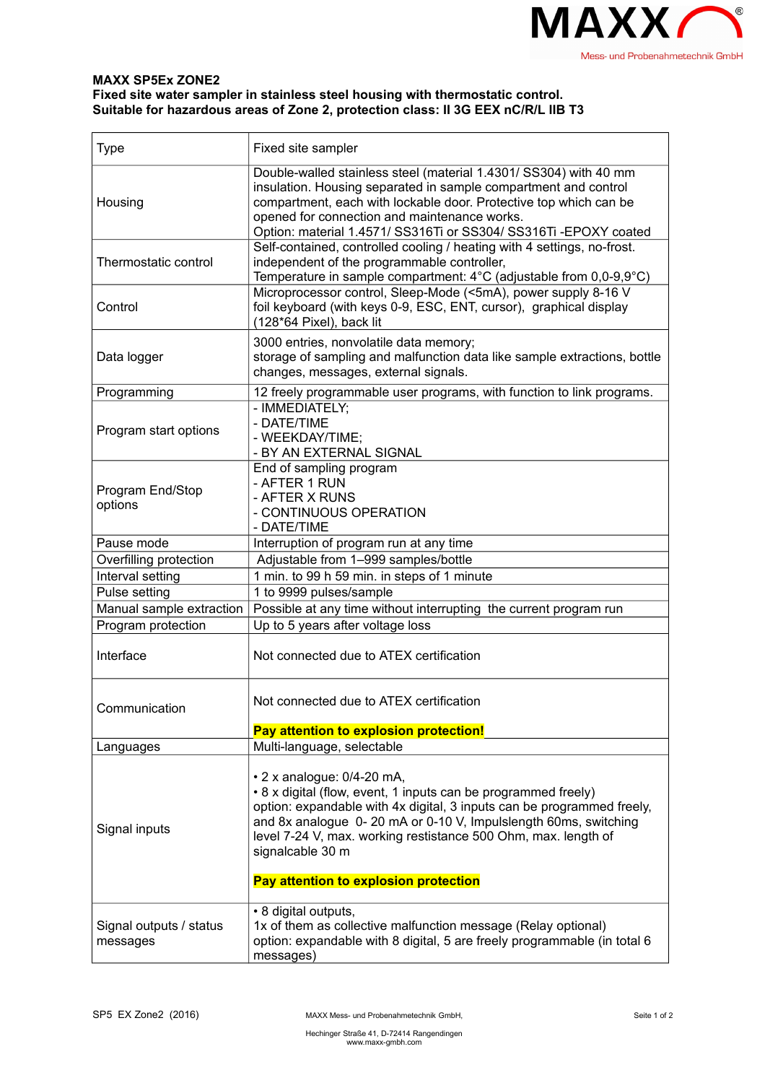

## **MAXX SP5Ex ZONE2 Fixed site water sampler in stainless steel housing with thermostatic control. Suitable for hazardous areas of Zone 2, protection class: II 3G EEX nC/R/L IIB T3**

| <b>Type</b>                         | Fixed site sampler                                                                                                                                                                                                                                                                                                              |
|-------------------------------------|---------------------------------------------------------------------------------------------------------------------------------------------------------------------------------------------------------------------------------------------------------------------------------------------------------------------------------|
| Housing                             | Double-walled stainless steel (material 1.4301/ SS304) with 40 mm<br>insulation. Housing separated in sample compartment and control<br>compartment, each with lockable door. Protective top which can be<br>opened for connection and maintenance works.<br>Option: material 1.4571/ SS316Ti or SS304/ SS316Ti -EPOXY coated   |
| Thermostatic control                | Self-contained, controlled cooling / heating with 4 settings, no-frost.<br>independent of the programmable controller,<br>Temperature in sample compartment: 4°C (adjustable from 0,0-9,9°C)                                                                                                                                    |
| Control                             | Microprocessor control, Sleep-Mode (<5mA), power supply 8-16 V<br>foil keyboard (with keys 0-9, ESC, ENT, cursor), graphical display<br>(128*64 Pixel), back lit                                                                                                                                                                |
| Data logger                         | 3000 entries, nonvolatile data memory;<br>storage of sampling and malfunction data like sample extractions, bottle<br>changes, messages, external signals.                                                                                                                                                                      |
| Programming                         | 12 freely programmable user programs, with function to link programs.                                                                                                                                                                                                                                                           |
| Program start options               | - IMMEDIATELY;<br>- DATE/TIME<br>- WEEKDAY/TIME;<br>- BY AN EXTERNAL SIGNAL                                                                                                                                                                                                                                                     |
| Program End/Stop<br>options         | End of sampling program<br>- AFTER 1 RUN<br>- AFTER X RUNS<br>- CONTINUOUS OPERATION<br>- DATE/TIME                                                                                                                                                                                                                             |
| Pause mode                          | Interruption of program run at any time                                                                                                                                                                                                                                                                                         |
| Overfilling protection              | Adjustable from 1-999 samples/bottle                                                                                                                                                                                                                                                                                            |
| Interval setting                    | 1 min. to 99 h 59 min. in steps of 1 minute                                                                                                                                                                                                                                                                                     |
| Pulse setting                       | 1 to 9999 pulses/sample                                                                                                                                                                                                                                                                                                         |
| Manual sample extraction            | Possible at any time without interrupting the current program run                                                                                                                                                                                                                                                               |
| Program protection                  | Up to 5 years after voltage loss                                                                                                                                                                                                                                                                                                |
| Interface                           | Not connected due to ATEX certification                                                                                                                                                                                                                                                                                         |
| Communication                       | Not connected due to ATEX certification                                                                                                                                                                                                                                                                                         |
|                                     | Pay attention to explosion protection!                                                                                                                                                                                                                                                                                          |
| Languages                           | Multi-language, selectable                                                                                                                                                                                                                                                                                                      |
| Signal inputs                       | • 2 x analogue: 0/4-20 mA,<br>• 8 x digital (flow, event, 1 inputs can be programmed freely)<br>option: expandable with 4x digital, 3 inputs can be programmed freely,<br>and 8x analogue 0-20 mA or 0-10 V, Impulslength 60ms, switching<br>level 7-24 V, max. working restistance 500 Ohm, max. length of<br>signalcable 30 m |
|                                     | Pay attention to explosion protection                                                                                                                                                                                                                                                                                           |
| Signal outputs / status<br>messages | • 8 digital outputs,<br>1x of them as collective malfunction message (Relay optional)<br>option: expandable with 8 digital, 5 are freely programmable (in total 6<br>messages)                                                                                                                                                  |